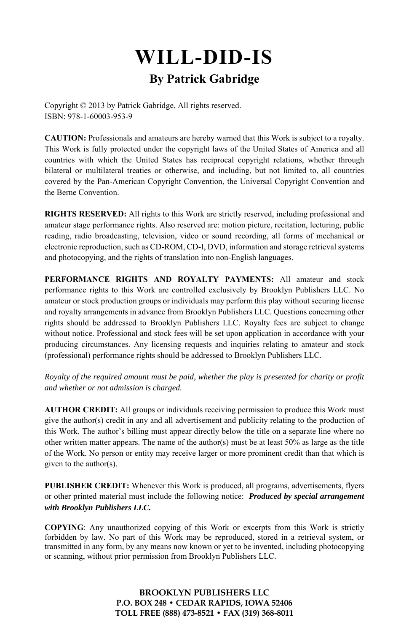# **WILL-DID-IS By Patrick Gabridge**

Copyright © 2013 by Patrick Gabridge, All rights reserved. ISBN: 978-1-60003-953-9

**CAUTION:** Professionals and amateurs are hereby warned that this Work is subject to a royalty. This Work is fully protected under the copyright laws of the United States of America and all countries with which the United States has reciprocal copyright relations, whether through bilateral or multilateral treaties or otherwise, and including, but not limited to, all countries covered by the Pan-American Copyright Convention, the Universal Copyright Convention and the Berne Convention.

**RIGHTS RESERVED:** All rights to this Work are strictly reserved, including professional and amateur stage performance rights. Also reserved are: motion picture, recitation, lecturing, public reading, radio broadcasting, television, video or sound recording, all forms of mechanical or electronic reproduction, such as CD-ROM, CD-I, DVD, information and storage retrieval systems and photocopying, and the rights of translation into non-English languages.

**PERFORMANCE RIGHTS AND ROYALTY PAYMENTS:** All amateur and stock performance rights to this Work are controlled exclusively by Brooklyn Publishers LLC. No amateur or stock production groups or individuals may perform this play without securing license and royalty arrangements in advance from Brooklyn Publishers LLC. Questions concerning other rights should be addressed to Brooklyn Publishers LLC. Royalty fees are subject to change without notice. Professional and stock fees will be set upon application in accordance with your producing circumstances. Any licensing requests and inquiries relating to amateur and stock (professional) performance rights should be addressed to Brooklyn Publishers LLC.

*Royalty of the required amount must be paid, whether the play is presented for charity or profit and whether or not admission is charged.* 

**AUTHOR CREDIT:** All groups or individuals receiving permission to produce this Work must give the author(s) credit in any and all advertisement and publicity relating to the production of this Work. The author's billing must appear directly below the title on a separate line where no other written matter appears. The name of the author(s) must be at least  $50\%$  as large as the title of the Work. No person or entity may receive larger or more prominent credit than that which is given to the author(s).

**PUBLISHER CREDIT:** Whenever this Work is produced, all programs, advertisements, flyers or other printed material must include the following notice: *Produced by special arrangement with Brooklyn Publishers LLC.*

**COPYING**: Any unauthorized copying of this Work or excerpts from this Work is strictly forbidden by law. No part of this Work may be reproduced, stored in a retrieval system, or transmitted in any form, by any means now known or yet to be invented, including photocopying or scanning, without prior permission from Brooklyn Publishers LLC.

> **BROOKLYN PUBLISHERS LLC P.O. BOX 248 • CEDAR RAPIDS, IOWA 52406 TOLL FREE (888) 473-8521 • FAX (319) 368-8011**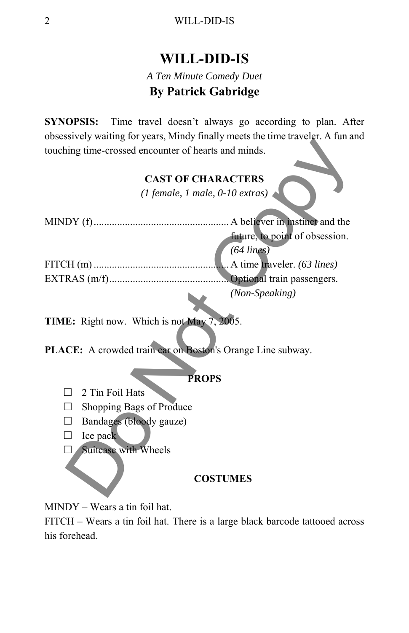# **WILL-DID-IS**

# *A Ten Minute Comedy Duet*  **By Patrick Gabridge**

**SYNOPSIS:** Time travel doesn't always go according to plan. After obsessively waiting for years, Mindy finally meets the time traveler. A fun and touching time-crossed encounter of hearts and minds.

## **CAST OF CHARACTERS**

|                                                                                                          | obsessively waiting for years, ivingly finally filed to the third travelst. In full at |
|----------------------------------------------------------------------------------------------------------|----------------------------------------------------------------------------------------|
| touching time-crossed encounter of hearts and minds.                                                     |                                                                                        |
|                                                                                                          | <b>CAST OF CHARACTERS</b>                                                              |
|                                                                                                          | $(1$ female, 1 male, 0-10 extras)                                                      |
|                                                                                                          |                                                                                        |
|                                                                                                          | future, to point of obsession.                                                         |
|                                                                                                          | $(64 \text{ lines})$                                                                   |
|                                                                                                          |                                                                                        |
|                                                                                                          |                                                                                        |
|                                                                                                          | (Non-Speaking)                                                                         |
| TIME: Right now. Which is not May 7, 2005.<br>PLACE: A crowded train car on Boston's Orange Line subway. |                                                                                        |
|                                                                                                          | <b>PROPS</b>                                                                           |
| 2 Tin Foil Hats                                                                                          |                                                                                        |
| Shopping Bags of Produce                                                                                 |                                                                                        |
| Bandages (bloody gauze)                                                                                  |                                                                                        |
| Ice pack                                                                                                 |                                                                                        |
| Suitcase with Wheels                                                                                     |                                                                                        |
|                                                                                                          | <b>COSTUMES</b>                                                                        |

### **PROPS**

- $\Box$  2 Tin Foil Hats
- $\Box$  Shopping Bags of Produce
- $\Box$  Bandages (bloody gauze)
- $\Box$  Ice pack
- Suitcase with Wheels

#### **COSTUMES**

MINDY – Wears a tin foil hat.

FITCH – Wears a tin foil hat. There is a large black barcode tattooed across his forehead.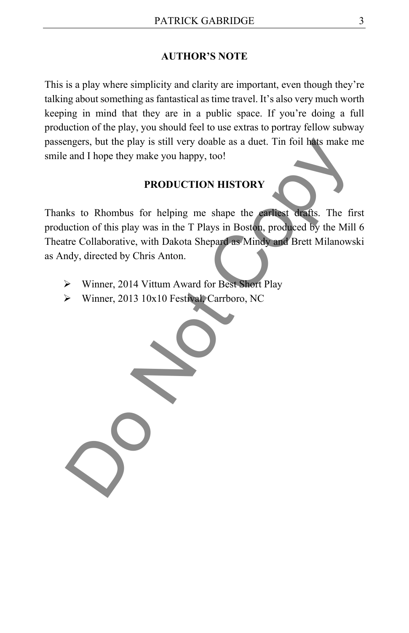#### **AUTHOR'S NOTE**

This is a play where simplicity and clarity are important, even though they're talking about something as fantastical as time travel. It's also very much worth keeping in mind that they are in a public space. If you're doing a full production of the play, you should feel to use extras to portray fellow subway passengers, but the play is still very doable as a duet. Tin foil hats make me smile and I hope they make you happy, too!

#### **PRODUCTION HISTORY**

Thanks to Rhombus for helping me shape the earliest drafts. The first production of this play was in the T Plays in Boston, produced by the Mill 6 Theatre Collaborative, with Dakota Shepard as Mindy and Brett Milanowski as Andy, directed by Chris Anton. mgers, but the play is still very doable as a duet. Tin foil hats make n<br>
and I hope they make you happy, too!<br> **PRODUCTION HISTORY**<br>
ks to Rhombus for helping me shape the carliest drafts. The fir<br>
uction of this play was

- Winner, 2014 Vittum Award for Best Short Play
- Winner, 2013 10x10 Festival, Carrboro, NC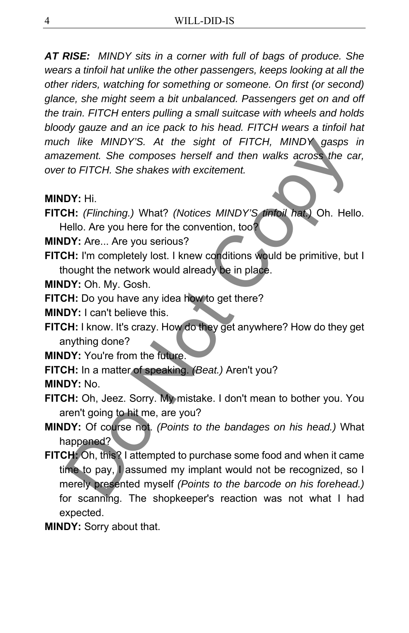*AT RISE: MINDY sits in a corner with full of bags of produce. She wears a tinfoil hat unlike the other passengers, keeps looking at all the other riders, watching for something or someone. On first (or second) glance, she might seem a bit unbalanced. Passengers get on and off the train. FITCH enters pulling a small suitcase with wheels and holds bloody gauze and an ice pack to his head. FITCH wears a tinfoil hat much like MINDY'S. At the sight of FITCH, MINDY gasps in amazement. She composes herself and then walks across the car, over to FITCH. She shakes with excitement.* 

- **MINDY:** Hi.
- **FITCH:** *(Flinching.)* What? *(Notices MINDY'S tinfoil hat.)* Oh. Hello. Hello. Are you here for the convention, too?
- **MINDY:** Are... Are you serious?
- **FITCH:** I'm completely lost. I knew conditions would be primitive, but I thought the network would already be in place.
- **MINDY:** Oh. My. Gosh.
- **FITCH:** Do you have any idea how to get there?
- **MINDY:** I can't believe this.
- **FITCH:** I know. It's crazy. How do they get anywhere? How do they get anything done?
- **MINDY:** You're from the future.
- **FITCH:** In a matter of speaking. *(Beat.)* Aren't you?
- **MINDY:** No.
- **FITCH:** Oh, Jeez. Sorry. My mistake. I don't mean to bother you. You aren't going to hit me, are you?
- **MINDY:** Of course not. *(Points to the bandages on his head.)* What happened?
- **FITCH:** Oh, this? I attempted to purchase some food and when it came time to pay, I assumed my implant would not be recognized, so I merely presented myself *(Points to the barcode on his forehead.)* for scanning. The shopkeeper's reaction was not what I had expected. *h* like MINDY'S. At the sight of FITCH, MINDY gasps<br>
zement. She composes herself and then walks across the ca<br>
to FITCH. She shakes with excitement.<br>
DY: Hi.<br>
DY: Hi.<br>
CHITCH. She shakes with excitement.<br>
DY: Hi.<br>
TH: I'
- **MINDY:** Sorry about that.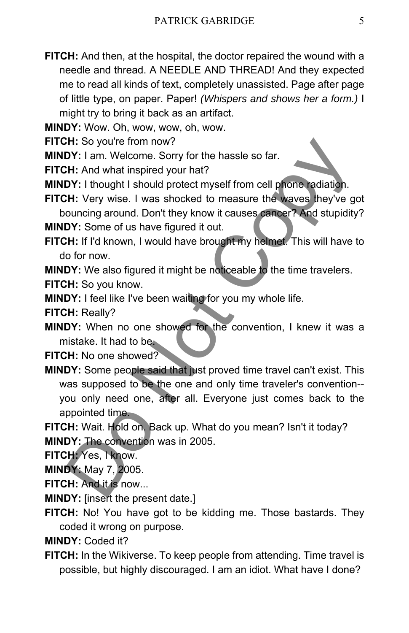**FITCH:** And then, at the hospital, the doctor repaired the wound with a needle and thread. A NEEDLE AND THREAD! And they expected me to read all kinds of text, completely unassisted. Page after page of little type, on paper. Paper! *(Whispers and shows her a form.)* I might try to bring it back as an artifact.

**MINDY:** Wow. Oh, wow, wow, oh, wow.

**FITCH:** So you're from now?

**MINDY:** I am. Welcome. Sorry for the hassle so far.

**FITCH:** And what inspired your hat?

**MINDY:** I thought I should protect myself from cell phone radiation.

**FITCH:** Very wise. I was shocked to measure the waves they've got bouncing around. Don't they know it causes cancer? And stupidity? **MINDY:** Some of us have figured it out.

**FITCH:** If I'd known, I would have brought my helmet. This will have to do for now.

**MINDY:** We also figured it might be noticeable to the time travelers.

**FITCH:** So you know.

**MINDY:** I feel like I've been waiting for you my whole life.

**FITCH:** Really?

**MINDY:** When no one showed for the convention, I knew it was a mistake. It had to be.

**FITCH:** No one showed?

**MINDY:** Some people said that just proved time travel can't exist. This was supposed to be the one and only time traveler's convention- you only need one, after all. Everyone just comes back to the appointed time. **CHI:** So you're from now?<br> **DI':** I am. Welcome. Sorry for the hassle so far.<br> **CHI:** Amd what inspired your hat?<br> **CHI:** Not what inspired your hat?<br> **CHI:** Very wise. I was shocked to measure the waves they've gionning

**FITCH:** Wait. Hold on. Back up. What do you mean? Isn't it today? **MINDY:** The convention was in 2005.

**FITCH:** Yes, I know.

**MINDY:** May 7, 2005.

**FITCH:** And it is now...

**MINDY:** [insert the present date.]

**FITCH:** No! You have got to be kidding me. Those bastards. They coded it wrong on purpose.

**MINDY:** Coded it?

**FITCH:** In the Wikiverse. To keep people from attending. Time travel is possible, but highly discouraged. I am an idiot. What have I done?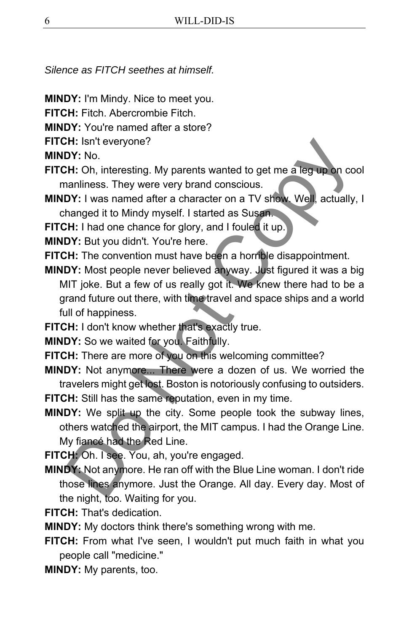*Silence as FITCH seethes at himself.* 

- **MINDY:** I'm Mindy. Nice to meet you.
- **FITCH:** Fitch. Abercrombie Fitch.
- **MINDY:** You're named after a store?
- **FITCH:** Isn't everyone?

**MINDY:** No.

- **FITCH:** Oh, interesting. My parents wanted to get me a leg up on cool manliness. They were very brand conscious.
- **MINDY:** I was named after a character on a TV show. Well, actually, I changed it to Mindy myself. I started as Susan.
- **FITCH:** I had one chance for glory, and I fouled it up
- **MINDY:** But you didn't. You're here.
- **FITCH:** The convention must have been a horrible disappointment.
- **MINDY:** Most people never believed anyway. Just figured it was a big MIT joke. But a few of us really got it. We knew there had to be a grand future out there, with time travel and space ships and a world full of happiness. **CHET SOFT THE SOFT THE SOFT THE SOFT THE SOFT THE CONDUCT THE CHE CHE CHE CHE CHE COPY: Not anothers. They were very brand conscious.**<br>
DO Maniliness. They were very brand conscious.<br>
DO Maniliness. They were very brand c
- **FITCH:** I don't know whether that's exactly true.
- **MINDY:** So we waited for you. Faithfully.
- **FITCH:** There are more of you on this welcoming committee?
- **MINDY:** Not anymore... There were a dozen of us. We worried the travelers might get lost. Boston is notoriously confusing to outsiders.
- **FITCH:** Still has the same reputation, even in my time.
- **MINDY:** We split up the city. Some people took the subway lines, others watched the airport, the MIT campus. I had the Orange Line. My fiancé had the Red Line.

**FITCH:** Oh. I see. You, ah, you're engaged.

- **MINDY:** Not anymore. He ran off with the Blue Line woman. I don't ride those lines anymore. Just the Orange. All day. Every day. Most of the night, too. Waiting for you.
- **FITCH:** That's dedication.
- **MINDY:** My doctors think there's something wrong with me.
- **FITCH:** From what I've seen, I wouldn't put much faith in what you people call "medicine."
- **MINDY:** My parents, too.